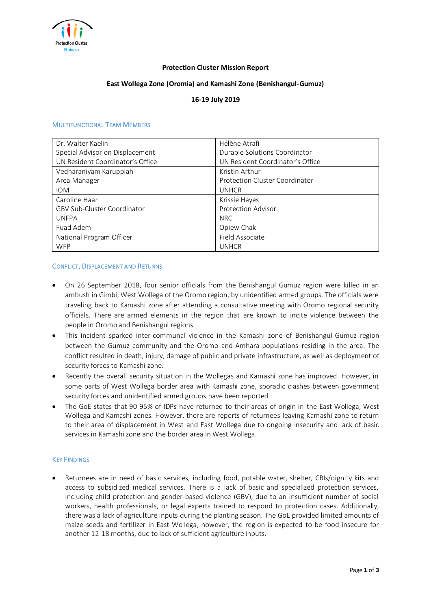

## **Protection Cluster Mission Report**

## **East Wollega Zone (Oromia) and Kamashi Zone (Benishangul-Gumuz)**

# **16-19 July 2019**

#### MULTIFUNCTIONAL TEAM MEMBERS

| Dr. Walter Kaelin                  | Hélène Atrafi                    |
|------------------------------------|----------------------------------|
| Special Advisor on Displacement    | Durable Solutions Coordinator    |
| UN Resident Coordinator's Office   | UN Resident Coordinator's Office |
| Vedharaniyam Karuppiah             | Kristin Arthur                   |
| Area Manager                       | Protection Cluster Coordinator   |
| <b>IOM</b>                         | <b>UNHCR</b>                     |
| Caroline Haar                      | Krissie Hayes                    |
| <b>GBV Sub-Cluster Coordinator</b> | <b>Protection Advisor</b>        |
| <b>UNFPA</b>                       | <b>NRC</b>                       |
| Fuad Adem                          | Opiew Chak                       |
| National Program Officer           | Field Associate                  |
| <b>WFP</b>                         | <b>UNHCR</b>                     |

#### CONFLICT, DISPLACEMENT AND RETURNS

- On 26 September 2018, four senior officials from the Benishangul Gumuz region were killed in an ambush in Gimbi, West Wollega of the Oromo region, by unidentified armed groups. The officials were traveling back to Kamashi zone after attending a consultative meeting with Oromo regional security officials. There are armed elements in the region that are known to incite violence between the people in Oromo and Benishangul regions.
- This incident sparked inter-communal violence in the Kamashi zone of Benishangul-Gumuz region between the Gumuz community and the Oromo and Amhara populations residing in the area. The conflict resulted in death, injury, damage of public and private infrastructure, as well as deployment of security forces to Kamashi zone.
- Recently the overall security situation in the Wollegas and Kamashi zone has improved. However, in some parts of West Wollega border area with Kamashi zone, sporadic clashes between government security forces and unidentified armed groups have been reported.
- The GoE states that 90-95% of IDPs have returned to their areas of origin in the East Wollega, West Wollega and Kamashi zones. However, there are reports of returnees leaving Kamashi zone to return to their area of displacement in West and East Wollega due to ongoing insecurity and lack of basic services in Kamashi zone and the border area in West Wollega.

#### KEY FINDINGS

Returnees are in need of basic services, including food, potable water, shelter, CRIs/dignity kits and access to subsidized medical services. There is a lack of basic and specialized protection services, including child protection and gender-based violence (GBV), due to an insufficient number of social workers, health professionals, or legal experts trained to respond to protection cases. Additionally, there was a lack of agriculture inputs during the planting season. The GoE provided limited amounts of maize seeds and fertilizer in East Wollega, however, the region is expected to be food insecure for another 12-18 months, due to lack of sufficient agriculture inputs.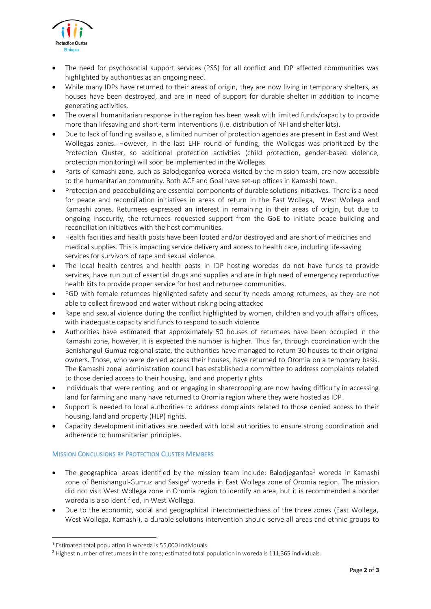

- The need for psychosocial support services (PSS) for all conflict and IDP affected communities was highlighted by authorities as an ongoing need.
- While many IDPs have returned to their areas of origin, they are now living in temporary shelters, as houses have been destroyed, and are in need of support for durable shelter in addition to income generating activities.
- The overall humanitarian response in the region has been weak with limited funds/capacity to provide more than lifesaving and short-term interventions (i.e. distribution of NFI and shelter kits).
- Due to lack of funding available, a limited number of protection agencies are present in East and West Wollegas zones. However, in the last EHF round of funding, the Wollegas was prioritized by the Protection Cluster, so additional protection activities (child protection, gender-based violence, protection monitoring) will soon be implemented in the Wollegas.
- Parts of Kamashi zone, such as Balodjeganfoa woreda visited by the mission team, are now accessible to the humanitarian community. Both ACF and Goal have set-up offices in Kamashi town.
- Protection and peacebuilding are essential components of durable solutions initiatives. There is a need for peace and reconciliation initiatives in areas of return in the East Wollega, West Wollega and Kamashi zones. Returnees expressed an interest in remaining in their areas of origin, but due to ongoing insecurity, the returnees requested support from the GoE to initiate peace building and reconciliation initiatives with the host communities.
- Health facilities and health posts have been looted and/or destroyed and are short of medicines and medical supplies. This is impacting service delivery and access to health care, including life-saving services for survivors of rape and sexual violence.
- The local health centres and health posts in IDP hosting woredas do not have funds to provide services, have run out of essential drugs and supplies and are in high need of emergency reproductive health kits to provide proper service for host and returnee communities.
- FGD with female returnees highlighted safety and security needs among returnees, as they are not able to collect firewood and water without risking being attacked
- Rape and sexual violence during the conflict highlighted by women, children and youth affairs offices, with inadequate capacity and funds to respond to such violence
- Authorities have estimated that approximately 50 houses of returnees have been occupied in the Kamashi zone, however, it is expected the number is higher. Thus far, through coordination with the Benishangul-Gumuz regional state, the authorities have managed to return 30 houses to their original owners. Those, who were denied access their houses, have returned to Oromia on a temporary basis. The Kamashi zonal administration council has established a committee to address complaints related to those denied access to their housing, land and property rights.
- Individuals that were renting land or engaging in sharecropping are now having difficulty in accessing land for farming and many have returned to Oromia region where they were hosted as IDP.
- Support is needed to local authorities to address complaints related to those denied access to their housing, land and property (HLP) rights.
- Capacity development initiatives are needed with local authorities to ensure strong coordination and adherence to humanitarian principles.

## MISSION CONCLUSIONS BY PROTECTION CLUSTER MEMBERS

- The geographical areas identified by the mission team include: Balodjeganfoa<sup>1</sup> woreda in Kamashi zone of Benishangul-Gumuz and Sasiga<sup>2</sup> woreda in East Wollega zone of Oromia region. The mission did not visit West Wollega zone in Oromia region to identify an area, but it is recommended a border woreda is also identified, in West Wollega.
- Due to the economic, social and geographical interconnectedness of the three zones (East Wollega, West Wollega, Kamashi), a durable solutions intervention should serve all areas and ethnic groups to

-

<sup>1</sup> Estimated total population in woreda is 55,000 individuals.

<sup>2</sup> Highest number of returnees in the zone; estimated total population in woreda is 111,365 individuals.